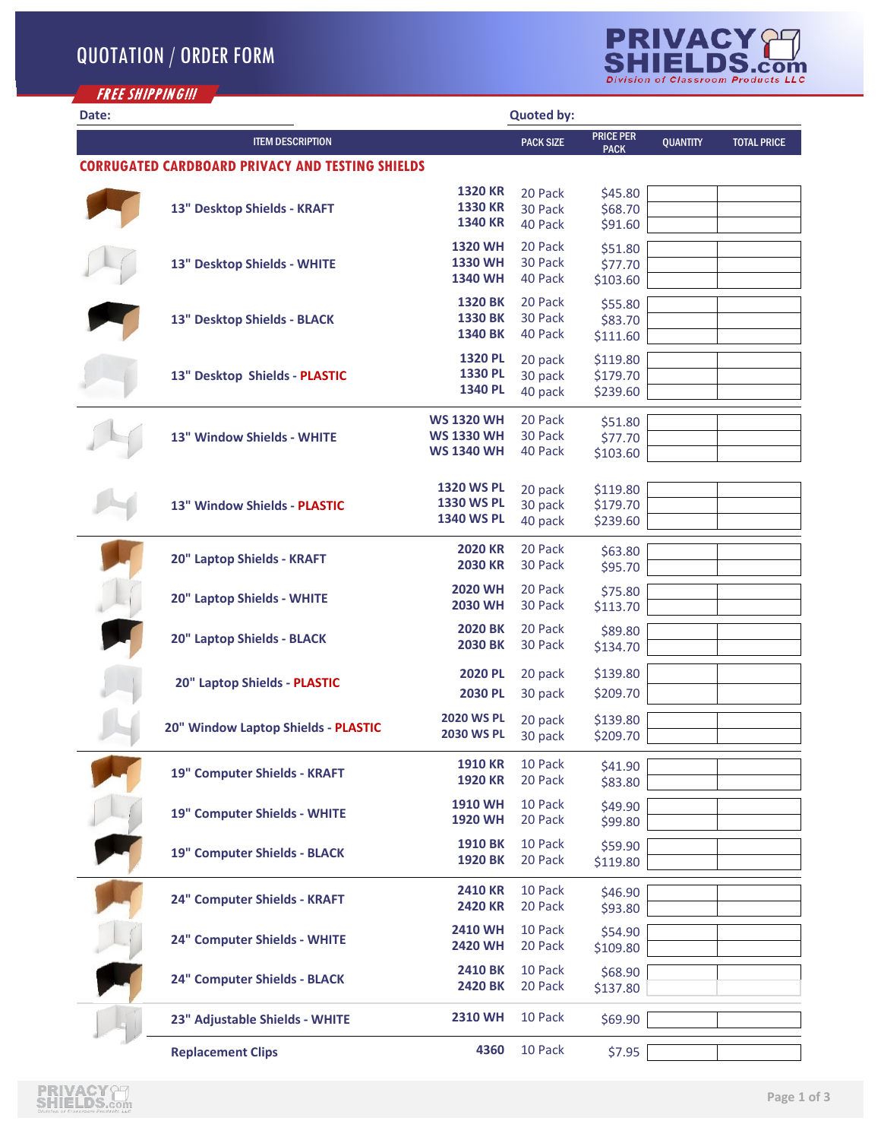

| <b>FREE SHIPPING!!!</b> |                                                         |                                        |                    |                                 |                 |                    |
|-------------------------|---------------------------------------------------------|----------------------------------------|--------------------|---------------------------------|-----------------|--------------------|
| Date:                   |                                                         |                                        | <b>Quoted by:</b>  |                                 |                 |                    |
|                         | <b>ITEM DESCRIPTION</b>                                 |                                        | <b>PACK SIZE</b>   | <b>PRICE PER</b><br><b>PACK</b> | <b>QUANTITY</b> | <b>TOTAL PRICE</b> |
|                         | <b>CORRUGATED CARDBOARD PRIVACY AND TESTING SHIELDS</b> |                                        |                    |                                 |                 |                    |
|                         |                                                         | <b>1320 KR</b>                         | 20 Pack            | \$45.80                         |                 |                    |
|                         | 13" Desktop Shields - KRAFT                             | <b>1330 KR</b>                         | 30 Pack            | \$68.70                         |                 |                    |
|                         |                                                         | <b>1340 KR</b>                         | 40 Pack            | \$91.60                         |                 |                    |
|                         |                                                         | <b>1320 WH</b>                         | 20 Pack            | \$51.80                         |                 |                    |
|                         | 13" Desktop Shields - WHITE                             | 1330 WH<br><b>1340 WH</b>              | 30 Pack<br>40 Pack | \$77.70<br>\$103.60             |                 |                    |
|                         |                                                         |                                        |                    |                                 |                 |                    |
|                         | 13" Desktop Shields - BLACK                             | <b>1320 BK</b><br><b>1330 BK</b>       | 20 Pack<br>30 Pack | \$55.80<br>\$83.70              |                 |                    |
|                         |                                                         | <b>1340 BK</b>                         | 40 Pack            | \$111.60                        |                 |                    |
|                         |                                                         | <b>1320 PL</b>                         | 20 pack            | \$119.80                        |                 |                    |
|                         | 13" Desktop Shields - PLASTIC                           | 1330 PL                                | 30 pack            | \$179.70                        |                 |                    |
|                         |                                                         | 1340 PL                                | 40 pack            | \$239.60                        |                 |                    |
|                         |                                                         | <b>WS 1320 WH</b>                      | 20 Pack            | \$51.80                         |                 |                    |
|                         | 13" Window Shields - WHITE                              | <b>WS 1330 WH</b>                      | 30 Pack            | \$77.70                         |                 |                    |
|                         |                                                         | <b>WS 1340 WH</b>                      | 40 Pack            | \$103.60                        |                 |                    |
|                         |                                                         |                                        |                    |                                 |                 |                    |
|                         |                                                         | <b>1320 WS PL</b><br><b>1330 WS PL</b> | 20 pack            | \$119.80                        |                 |                    |
|                         | 13" Window Shields - PLASTIC                            | <b>1340 WS PL</b>                      | 30 pack<br>40 pack | \$179.70<br>\$239.60            |                 |                    |
|                         |                                                         |                                        |                    |                                 |                 |                    |
|                         | 20" Laptop Shields - KRAFT                              | <b>2020 KR</b>                         | 20 Pack            | \$63.80                         |                 |                    |
|                         |                                                         | <b>2030 KR</b>                         | 30 Pack            | \$95.70                         |                 |                    |
|                         | 20" Laptop Shields - WHITE                              | <b>2020 WH</b><br><b>2030 WH</b>       | 20 Pack<br>30 Pack | \$75.80                         |                 |                    |
|                         |                                                         |                                        |                    | \$113.70                        |                 |                    |
|                         | 20" Laptop Shields - BLACK                              | <b>2020 BK</b><br><b>2030 BK</b>       | 20 Pack<br>30 Pack | \$89.80<br>\$134.70             |                 |                    |
|                         |                                                         |                                        |                    |                                 |                 |                    |
|                         | 20" Laptop Shields - PLASTIC                            | <b>2020 PL</b>                         | 20 pack            | \$139.80                        |                 |                    |
|                         |                                                         | <b>2030 PL</b>                         | 30 pack            | \$209.70                        |                 |                    |
|                         | 20" Window Laptop Shields - PLASTIC                     | <b>2020 WS PL</b>                      | 20 pack            | \$139.80                        |                 |                    |
|                         |                                                         | <b>2030 WS PL</b>                      | 30 pack            | \$209.70                        |                 |                    |
|                         |                                                         | <b>1910 KR</b>                         | 10 Pack            | \$41.90                         |                 |                    |
|                         | 19" Computer Shields - KRAFT                            | <b>1920 KR</b>                         | 20 Pack            | \$83.80                         |                 |                    |
|                         |                                                         | <b>1910 WH</b>                         | 10 Pack            | \$49.90                         |                 |                    |
|                         | 19" Computer Shields - WHITE                            | <b>1920 WH</b>                         | 20 Pack            | \$99.80                         |                 |                    |
|                         |                                                         | <b>1910 BK</b>                         | 10 Pack            | \$59.90                         |                 |                    |
|                         | 19" Computer Shields - BLACK                            | 1920 BK                                | 20 Pack            | \$119.80                        |                 |                    |
|                         |                                                         | <b>2410 KR</b>                         | 10 Pack            | \$46.90                         |                 |                    |
|                         | 24" Computer Shields - KRAFT                            | <b>2420 KR</b>                         | 20 Pack            | \$93.80                         |                 |                    |
|                         |                                                         | <b>2410 WH</b>                         | 10 Pack            | \$54.90                         |                 |                    |
|                         | 24" Computer Shields - WHITE                            | 2420 WH                                | 20 Pack            | \$109.80                        |                 |                    |
|                         |                                                         | <b>2410 BK</b>                         | 10 Pack            | \$68.90                         |                 |                    |
|                         | 24" Computer Shields - BLACK                            | <b>2420 BK</b>                         | 20 Pack            | \$137.80                        |                 |                    |
|                         |                                                         |                                        |                    |                                 |                 |                    |
|                         | 23" Adjustable Shields - WHITE                          | <b>2310 WH</b>                         | 10 Pack            | \$69.90                         |                 |                    |
|                         | <b>Replacement Clips</b>                                | 4360                                   | 10 Pack            | \$7.95                          |                 |                    |

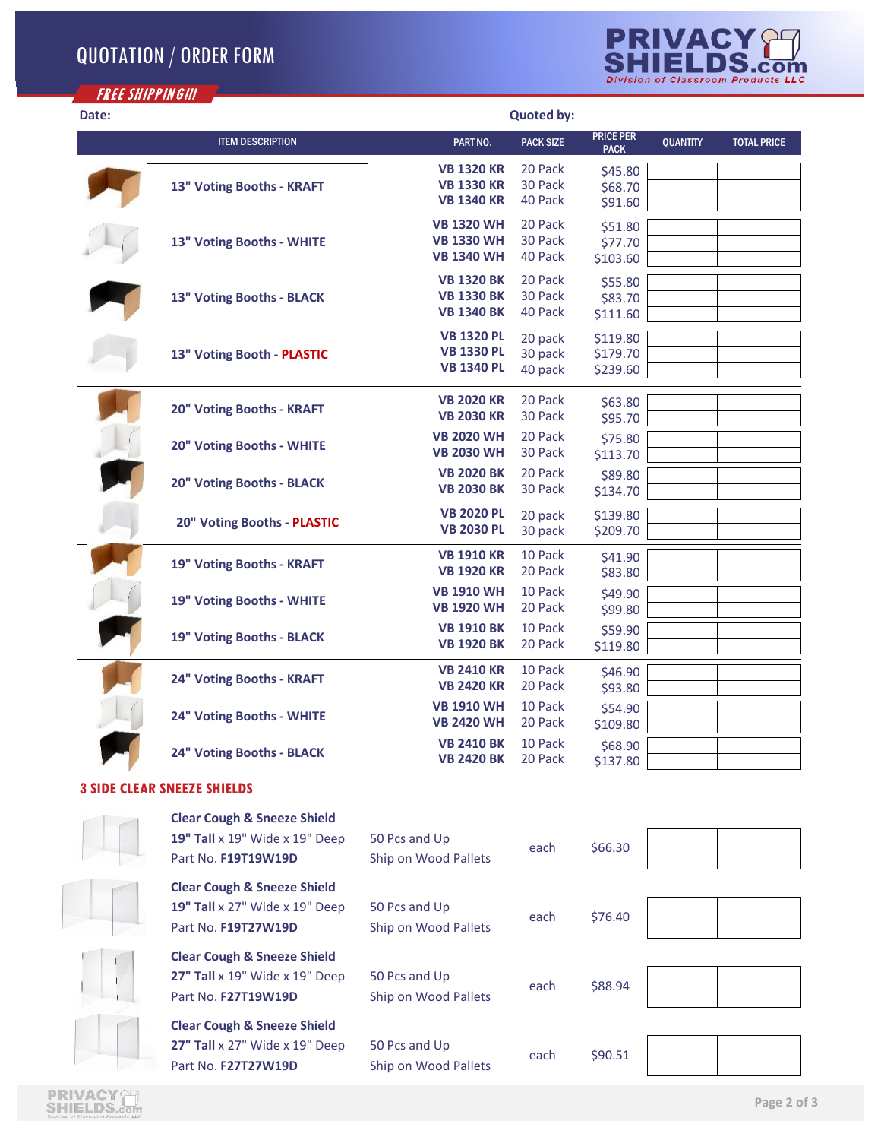## QUOTATION / ORDER FORM



| Date: |                                    |                   | <b>Quoted by:</b> |                                 |                 |                    |
|-------|------------------------------------|-------------------|-------------------|---------------------------------|-----------------|--------------------|
|       | <b>ITEM DESCRIPTION</b>            | PART NO.          | <b>PACK SIZE</b>  | <b>PRICE PER</b><br><b>PACK</b> | <b>QUANTITY</b> | <b>TOTAL PRICE</b> |
|       |                                    | <b>VB 1320 KR</b> | 20 Pack           | \$45.80                         |                 |                    |
|       | 13" Voting Booths - KRAFT          | <b>VB 1330 KR</b> | 30 Pack           | \$68.70                         |                 |                    |
|       |                                    | <b>VB 1340 KR</b> | 40 Pack           | \$91.60                         |                 |                    |
|       | 13" Voting Booths - WHITE          | <b>VB 1320 WH</b> | 20 Pack           | \$51.80                         |                 |                    |
|       |                                    | <b>VB 1330 WH</b> | 30 Pack           | \$77.70                         |                 |                    |
|       |                                    | <b>VB 1340 WH</b> | 40 Pack           | \$103.60                        |                 |                    |
|       | 13" Voting Booths - BLACK          | <b>VB 1320 BK</b> | 20 Pack           | \$55.80                         |                 |                    |
|       |                                    | <b>VB 1330 BK</b> | 30 Pack           | \$83.70                         |                 |                    |
|       |                                    | <b>VB 1340 BK</b> | 40 Pack           | \$111.60                        |                 |                    |
|       |                                    | <b>VB 1320 PL</b> | 20 pack           | \$119.80                        |                 |                    |
|       | 13" Voting Booth - PLASTIC         | <b>VB 1330 PL</b> | 30 pack           | \$179.70                        |                 |                    |
|       |                                    | <b>VB 1340 PL</b> | 40 pack           | \$239.60                        |                 |                    |
|       |                                    | <b>VB 2020 KR</b> | 20 Pack           | \$63.80                         |                 |                    |
|       | 20" Voting Booths - KRAFT          | <b>VB 2030 KR</b> | 30 Pack           | \$95.70                         |                 |                    |
|       |                                    | <b>VB 2020 WH</b> | 20 Pack           | \$75.80                         |                 |                    |
|       | 20" Voting Booths - WHITE          | <b>VB 2030 WH</b> | 30 Pack           | \$113.70                        |                 |                    |
|       | 20" Voting Booths - BLACK          | <b>VB 2020 BK</b> | 20 Pack           | \$89.80                         |                 |                    |
|       |                                    | <b>VB 2030 BK</b> | 30 Pack           | \$134.70                        |                 |                    |
|       | 20" Voting Booths - PLASTIC        | <b>VB 2020 PL</b> | 20 pack           | \$139.80                        |                 |                    |
|       |                                    | <b>VB 2030 PL</b> | 30 pack           | \$209.70                        |                 |                    |
|       |                                    | <b>VB 1910 KR</b> | 10 Pack           | \$41.90                         |                 |                    |
|       | 19" Voting Booths - KRAFT          | <b>VB 1920 KR</b> | 20 Pack           | \$83.80                         |                 |                    |
|       |                                    | <b>VB 1910 WH</b> | 10 Pack           | \$49.90                         |                 |                    |
|       | 19" Voting Booths - WHITE          | <b>VB 1920 WH</b> | 20 Pack           | \$99.80                         |                 |                    |
|       |                                    | <b>VB 1910 BK</b> | 10 Pack           | \$59.90                         |                 |                    |
|       | 19" Voting Booths - BLACK          | <b>VB 1920 BK</b> | 20 Pack           | \$119.80                        |                 |                    |
|       | 24" Voting Booths - KRAFT          | <b>VB 2410 KR</b> | 10 Pack           | \$46.90                         |                 |                    |
|       |                                    | <b>VB 2420 KR</b> | 20 Pack           | \$93.80                         |                 |                    |
|       | 24" Voting Booths - WHITE          | <b>VB 1910 WH</b> | 10 Pack           | \$54.90                         |                 |                    |
|       |                                    | <b>VB 2420 WH</b> | 20 Pack           | \$109.80                        |                 |                    |
|       |                                    | <b>VB 2410 BK</b> | 10 Pack           | \$68.90                         |                 |                    |
|       | 24" Voting Booths - BLACK          | <b>VB 2420 BK</b> | 20 Pack           | \$137.80                        |                 |                    |
|       | <b>3 SIDE CLEAR SNEEZE SHIELDS</b> |                   |                   |                                 |                 |                    |

## **3 SIDE CLEAR SNEEZE SHIELDS**